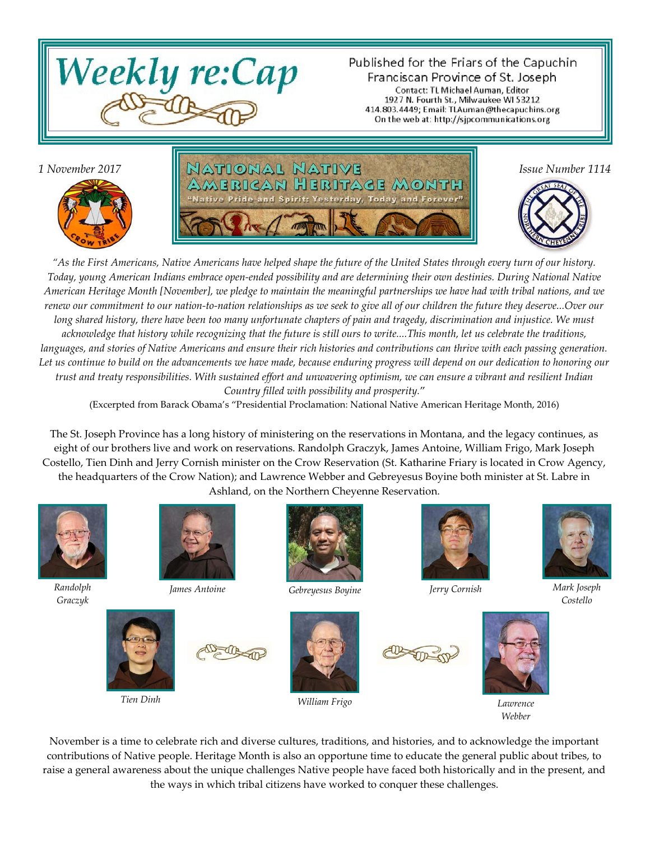

Published for the Friars of the Capuchin Franciscan Province of St. Joseph Contact: TL Michael Auman, Editor 1927 N. Fourth St., Milwaukee WI 53212 414.803.4449; Email: TLAuman@thecapuchins.org On the web at: http://sjpcommunications.org



*1 November 2017* **Issue Number 1114 In ATIONAL NATIVE** rican Heritage Month ay, Today and Forever'



*"As the First Americans, Native Americans have helped shape the future of the United States through every turn of our history. Today, young American Indians embrace open-ended possibility and are determining their own destinies. During National Native American Heritage Month [November], we pledge to maintain the meaningful partnerships we have had with tribal nations, and we renew our commitment to our nation-to-nation relationships as we seek to give all of our children the future they deserve...Over our long shared history, there have been too many unfortunate chapters of pain and tragedy, discrimination and injustice. We must acknowledge that history while recognizing that the future is still ours to write....This month, let us celebrate the traditions, languages, and stories of Native Americans and ensure their rich histories and contributions can thrive with each passing generation. Let us continue to build on the advancements we have made, because enduring progress will depend on our dedication to honoring our trust and treaty responsibilities. With sustained effort and unwavering optimism, we can ensure a vibrant and resilient Indian Country filled with possibility and prosperity.*"

(Excerpted from Barack Obama's "Presidential Proclamation: National Native American Heritage Month, 2016)

The St. Joseph Province has a long history of ministering on the reservations in Montana, and the legacy continues, as eight of our brothers live and work on reservations. Randolph Graczyk, James Antoine, William Frigo, Mark Joseph Costello, Tien Dinh and Jerry Cornish minister on the Crow Reservation (St. Katharine Friary is located in Crow Agency, the headquarters of the Crow Nation); and Lawrence Webber and Gebreyesus Boyine both minister at St. Labre in Ashland, on the Northern Cheyenne Reservation.



*Randolph Graczyk*







*James Antoine Gebreyesus Boyine Jerry Cornish Mark Joseph*



*Tien Dinh William Frigo Lawrence*







*Costello*



November is a time to celebrate rich and diverse cultures, traditions, and histories, and to acknowledge the important contributions of Native people. Heritage Month is also an opportune time to educate the general public about tribes, to raise a general awareness about the unique challenges Native people have faced both historically and in the present, and the ways in which tribal citizens have worked to conquer these challenges.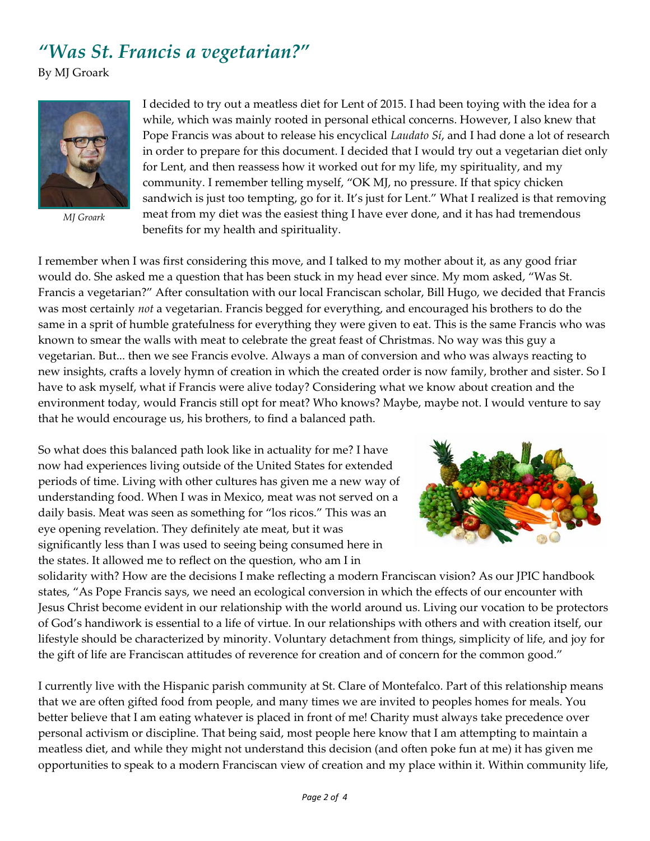## *"Was St. Francis a vegetarian?"*

By MJ Groark



*MJ Groark*

I decided to try out a meatless diet for Lent of 2015. I had been toying with the idea for a while, which was mainly rooted in personal ethical concerns. However, I also knew that Pope Francis was about to release his encyclical *Laudato Sí*, and I had done a lot of research in order to prepare for this document. I decided that I would try out a vegetarian diet only for Lent, and then reassess how it worked out for my life, my spirituality, and my community. I remember telling myself, "OK MJ, no pressure. If that spicy chicken sandwich is just too tempting, go for it. It's just for Lent." What I realized is that removing meat from my diet was the easiest thing I have ever done, and it has had tremendous benefits for my health and spirituality.

I remember when I was first considering this move, and I talked to my mother about it, as any good friar would do. She asked me a question that has been stuck in my head ever since. My mom asked, "Was St. Francis a vegetarian?" After consultation with our local Franciscan scholar, Bill Hugo, we decided that Francis was most certainly *not* a vegetarian. Francis begged for everything, and encouraged his brothers to do the same in a sprit of humble gratefulness for everything they were given to eat. This is the same Francis who was known to smear the walls with meat to celebrate the great feast of Christmas. No way was this guy a vegetarian. But... then we see Francis evolve. Always a man of conversion and who was always reacting to new insights, crafts a lovely hymn of creation in which the created order is now family, brother and sister. So I have to ask myself, what if Francis were alive today? Considering what we know about creation and the environment today, would Francis still opt for meat? Who knows? Maybe, maybe not. I would venture to say that he would encourage us, his brothers, to find a balanced path.

So what does this balanced path look like in actuality for me? I have now had experiences living outside of the United States for extended periods of time. Living with other cultures has given me a new way of understanding food. When I was in Mexico, meat was not served on a daily basis. Meat was seen as something for "los ricos." This was an eye opening revelation. They definitely ate meat, but it was significantly less than I was used to seeing being consumed here in the states. It allowed me to reflect on the question, who am I in



solidarity with? How are the decisions I make reflecting a modern Franciscan vision? As our JPIC handbook states, "As Pope Francis says, we need an ecological conversion in which the effects of our encounter with Jesus Christ become evident in our relationship with the world around us. Living our vocation to be protectors of God's handiwork is essential to a life of virtue. In our relationships with others and with creation itself, our lifestyle should be characterized by minority. Voluntary detachment from things, simplicity of life, and joy for the gift of life are Franciscan attitudes of reverence for creation and of concern for the common good."

I currently live with the Hispanic parish community at St. Clare of Montefalco. Part of this relationship means that we are often gifted food from people, and many times we are invited to peoples homes for meals. You better believe that I am eating whatever is placed in front of me! Charity must always take precedence over personal activism or discipline. That being said, most people here know that I am attempting to maintain a meatless diet, and while they might not understand this decision (and often poke fun at me) it has given me opportunities to speak to a modern Franciscan view of creation and my place within it. Within community life,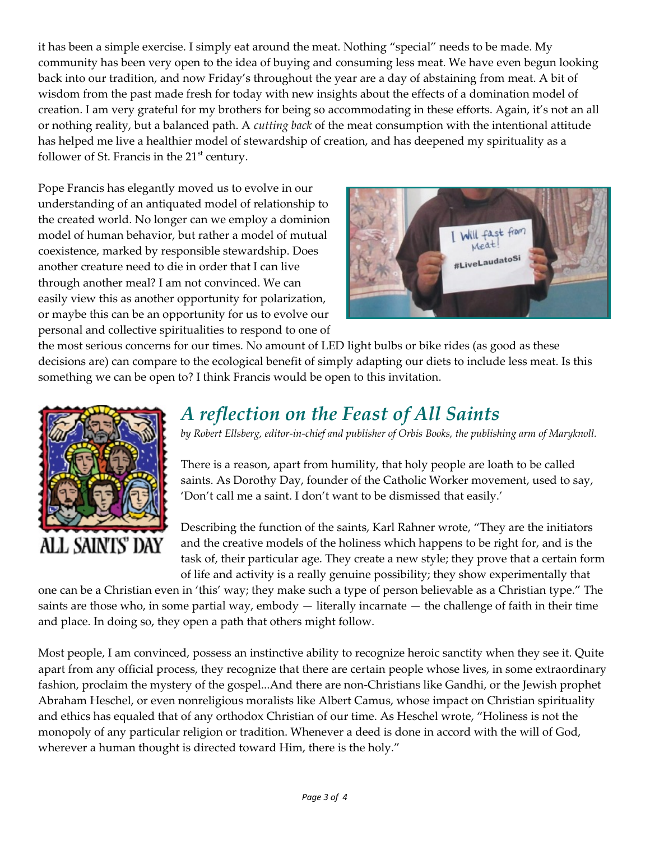it has been a simple exercise. I simply eat around the meat. Nothing "special" needs to be made. My community has been very open to the idea of buying and consuming less meat. We have even begun looking back into our tradition, and now Friday's throughout the year are a day of abstaining from meat. A bit of wisdom from the past made fresh for today with new insights about the effects of a domination model of creation. I am very grateful for my brothers for being so accommodating in these efforts. Again, it's not an all or nothing reality, but a balanced path. A *cutting back* of the meat consumption with the intentional attitude has helped me live a healthier model of stewardship of creation, and has deepened my spirituality as a follower of St. Francis in the  $21<sup>st</sup>$  century.

Pope Francis has elegantly moved us to evolve in our understanding of an antiquated model of relationship to the created world. No longer can we employ a dominion model of human behavior, but rather a model of mutual coexistence, marked by responsible stewardship. Does another creature need to die in order that I can live through another meal? I am not convinced. We can easily view this as another opportunity for polarization, or maybe this can be an opportunity for us to evolve our personal and collective spiritualities to respond to one of



the most serious concerns for our times. No amount of LED light bulbs or bike rides (as good as these decisions are) can compare to the ecological benefit of simply adapting our diets to include less meat. Is this something we can be open to? I think Francis would be open to this invitation.



## *A reflection on the Feast of All Saints*

*by Robert Ellsberg, editor-in-chief and publisher of Orbis Books, the publishing arm of Maryknoll.*

There is a reason, apart from humility, that holy people are loath to be called saints. As Dorothy Day, founder of the Catholic Worker movement, used to say, 'Don't call me a saint. I don't want to be dismissed that easily.'

Describing the function of the saints, Karl Rahner wrote, "They are the initiators and the creative models of the holiness which happens to be right for, and is the task of, their particular age. They create a new style; they prove that a certain form of life and activity is a really genuine possibility; they show experimentally that

one can be a Christian even in 'this' way; they make such a type of person believable as a Christian type." The saints are those who, in some partial way, embody — literally incarnate — the challenge of faith in their time and place. In doing so, they open a path that others might follow.

Most people, I am convinced, possess an instinctive ability to recognize heroic sanctity when they see it. Quite apart from any official process, they recognize that there are certain people whose lives, in some extraordinary fashion, proclaim the mystery of the gospel...And there are non-Christians like Gandhi, or the Jewish prophet Abraham Heschel, or even nonreligious moralists like Albert Camus, whose impact on Christian spirituality and ethics has equaled that of any orthodox Christian of our time. As Heschel wrote, "Holiness is not the monopoly of any particular religion or tradition. Whenever a deed is done in accord with the will of God, wherever a human thought is directed toward Him, there is the holy."